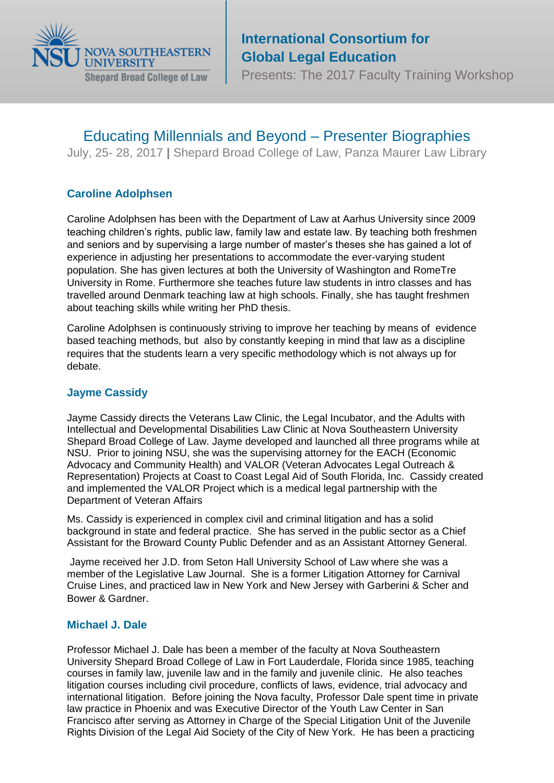

# **International Consortium for Global Legal Education**

Presents: The 2017 Faculty Training Workshop

## Educating Millennials and Beyond – Presenter Biographies

July, 25- 28, 2017 **|** Shepard Broad College of Law, Panza Maurer Law Library

## **Caroline [Adolphsen](http://pure.au.dk/portal/en/ca@jura.au.dk)**

Caroline Adolphsen has been with the Department of Law at Aarhus University since 2009 teaching children's rights, public law, family law and estate law. By teaching both freshmen and seniors and by supervising a large number of master's theses she has gained a lot of experience in adjusting her presentations to accommodate the ever-varying student population. She has given lectures at both the University of Washington and RomeTre University in Rome. Furthermore she teaches future law students in intro classes and has travelled around Denmark teaching law at high schools. Finally, she has taught freshmen about teaching skills while writing her PhD thesis.

Caroline Adolphsen is continuously striving to improve her teaching by means of evidence based teaching methods, but also by constantly keeping in mind that law as a discipline requires that the students learn a very specific methodology which is not always up for debate.

## **[Jayme Cassidy](https://www.law.nova.edu/faculty/adjunct-faculty/cassidy-jayme.html)**

Jayme Cassidy directs the Veterans Law Clinic, the Legal Incubator, and the Adults with Intellectual and Developmental Disabilities Law Clinic at Nova Southeastern University Shepard Broad College of Law. Jayme developed and launched all three programs while at NSU. Prior to joining NSU, she was the supervising attorney for the EACH (Economic Advocacy and Community Health) and VALOR (Veteran Advocates Legal Outreach & Representation) Projects at Coast to Coast Legal Aid of South Florida, Inc. Cassidy created and implemented the VALOR Project which is a medical legal partnership with the Department of Veteran Affairs

Ms. Cassidy is experienced in complex civil and criminal litigation and has a solid background in state and federal practice. She has served in the public sector as a Chief Assistant for the Broward County Public Defender and as an Assistant Attorney General.

Jayme received her J.D. from Seton Hall University School of Law where she was a member of the Legislative Law Journal. She is a former Litigation Attorney for Carnival Cruise Lines, and practiced law in New York and New Jersey with Garberini & Scher and Bower & Gardner.

## **[Michael J. Dale](https://www.law.nova.edu/faculty/full-time-faculty/dale-michael.html)**

Professor Michael J. Dale has been a member of the faculty at Nova Southeastern University Shepard Broad College of Law in Fort Lauderdale, Florida since 1985, teaching courses in family law, juvenile law and in the family and juvenile clinic. He also teaches litigation courses including civil procedure, conflicts of laws, evidence, trial advocacy and international litigation. Before joining the Nova faculty, Professor Dale spent time in private law practice in Phoenix and was Executive Director of the Youth Law Center in San Francisco after serving as Attorney in Charge of the Special Litigation Unit of the Juvenile Rights Division of the Legal Aid Society of the City of New York. He has been a practicing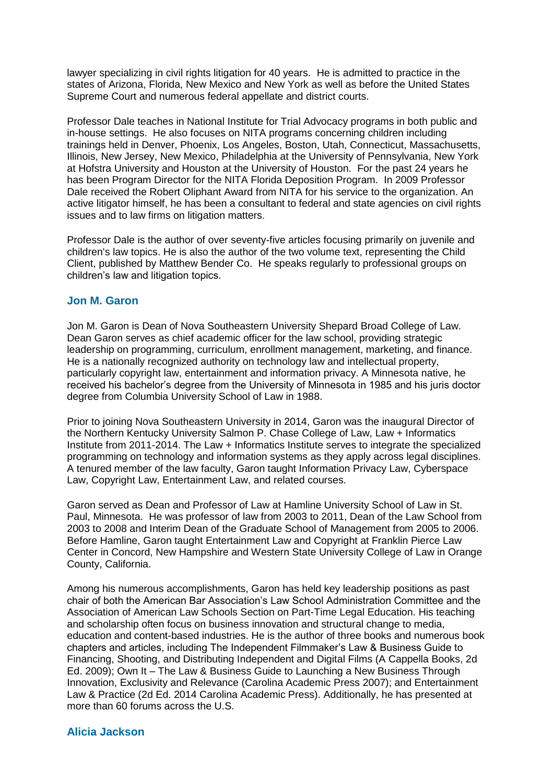lawyer specializing in civil rights litigation for 40 years. He is admitted to practice in the states of Arizona, Florida, New Mexico and New York as well as before the United States Supreme Court and numerous federal appellate and district courts.

Professor Dale teaches in National Institute for Trial Advocacy programs in both public and in-house settings. He also focuses on NITA programs concerning children including trainings held in Denver, Phoenix, Los Angeles, Boston, Utah, Connecticut, Massachusetts, Illinois, New Jersey, New Mexico, Philadelphia at the University of Pennsylvania, New York at Hofstra University and Houston at the University of Houston. For the past 24 years he has been Program Director for the NITA Florida Deposition Program. In 2009 Professor Dale received the Robert Oliphant Award from NITA for his service to the organization. An active litigator himself, he has been a consultant to federal and state agencies on civil rights issues and to law firms on litigation matters.

Professor Dale is the author of over seventy-five articles focusing primarily on juvenile and children's law topics. He is also the author of the two volume text, representing the Child Client, published by Matthew Bender Co. He speaks regularly to professional groups on children's law and litigation topics.

#### **[Jon M. Garon](https://www.law.nova.edu/faculty/administration/garon-jon.html)**

Jon M. Garon is Dean of Nova Southeastern University Shepard Broad College of Law. Dean Garon serves as chief academic officer for the law school, providing strategic leadership on programming, curriculum, enrollment management, marketing, and finance. He is a nationally recognized authority on technology law and intellectual property, particularly copyright law, entertainment and information privacy. A Minnesota native, he received his bachelor's degree from the University of Minnesota in 1985 and his juris doctor degree from Columbia University School of Law in 1988.

Prior to joining Nova Southeastern University in 2014, Garon was the inaugural Director of the Northern Kentucky University Salmon P. Chase College of Law, Law + Informatics Institute from 2011-2014. The Law + Informatics Institute serves to integrate the specialized programming on technology and information systems as they apply across legal disciplines. A tenured member of the law faculty, Garon taught Information Privacy Law, Cyberspace Law, Copyright Law, Entertainment Law, and related courses.

Garon served as Dean and Professor of Law at Hamline University School of Law in St. Paul, Minnesota. He was professor of law from 2003 to 2011, Dean of the Law School from 2003 to 2008 and Interim Dean of the Graduate School of Management from 2005 to 2006. Before Hamline, Garon taught Entertainment Law and Copyright at Franklin Pierce Law Center in Concord, New Hampshire and Western State University College of Law in Orange County, California.

Among his numerous accomplishments, Garon has held key leadership positions as past chair of both the American Bar Association's Law School Administration Committee and the Association of American Law Schools Section on Part-Time Legal Education. His teaching and scholarship often focus on business innovation and structural change to media, education and content-based industries. He is the author of three books and numerous book chapters and articles, including The Independent Filmmaker's Law & Business Guide to Financing, Shooting, and Distributing Independent and Digital Films (A Cappella Books, 2d Ed. 2009); Own It – The Law & Business Guide to Launching a New Business Through Innovation, Exclusivity and Relevance (Carolina Academic Press 2007); and Entertainment Law & Practice (2d Ed. 2014 Carolina Academic Press). Additionally, he has presented at more than 60 forums across the U.S.

#### **[Alicia Jackson](http://law.famu.edu/faculty/alicia-jackson/)**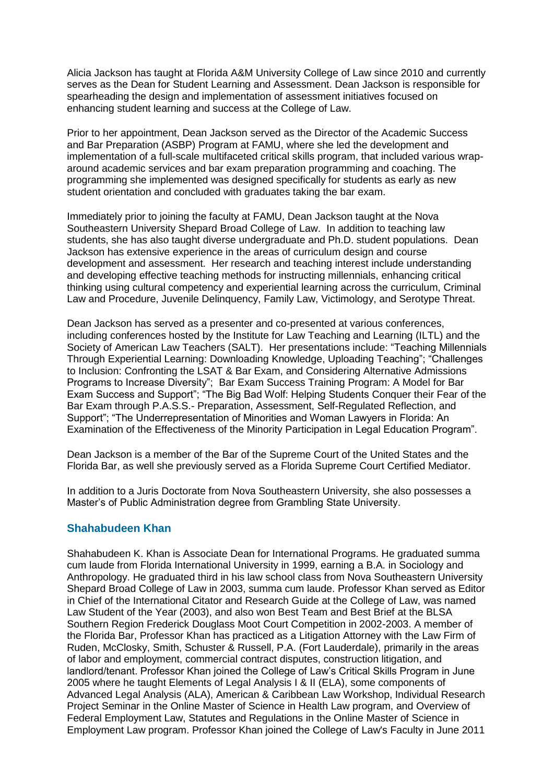Alicia Jackson has taught at Florida A&M University College of Law since 2010 and currently serves as the Dean for Student Learning and Assessment. Dean Jackson is responsible for spearheading the design and implementation of assessment initiatives focused on enhancing student learning and success at the College of Law.

Prior to her appointment, Dean Jackson served as the Director of the Academic Success and Bar Preparation (ASBP) Program at FAMU, where she led the development and implementation of a full-scale multifaceted critical skills program, that included various wraparound academic services and bar exam preparation programming and coaching. The programming she implemented was designed specifically for students as early as new student orientation and concluded with graduates taking the bar exam.

Immediately prior to joining the faculty at FAMU, Dean Jackson taught at the Nova Southeastern University Shepard Broad College of Law. In addition to teaching law students, she has also taught diverse undergraduate and Ph.D. student populations. Dean Jackson has extensive experience in the areas of curriculum design and course development and assessment. Her research and teaching interest include understanding and developing effective teaching methods for instructing millennials, enhancing critical thinking using cultural competency and experiential learning across the curriculum, Criminal Law and Procedure, Juvenile Delinquency, Family Law, Victimology, and Serotype Threat.

Dean Jackson has served as a presenter and co-presented at various conferences, including conferences hosted by the Institute for Law Teaching and Learning (ILTL) and the Society of American Law Teachers (SALT). Her presentations include: "Teaching Millennials Through Experiential Learning: Downloading Knowledge, Uploading Teaching"; "Challenges to Inclusion: Confronting the LSAT & Bar Exam, and Considering Alternative Admissions Programs to Increase Diversity"; Bar Exam Success Training Program: A Model for Bar Exam Success and Support"; "The Big Bad Wolf: Helping Students Conquer their Fear of the Bar Exam through P.A.S.S.- Preparation, Assessment, Self-Regulated Reflection, and Support"; "The Underrepresentation of Minorities and Woman Lawyers in Florida: An Examination of the Effectiveness of the Minority Participation in Legal Education Program".

Dean Jackson is a member of the Bar of the Supreme Court of the United States and the Florida Bar, as well she previously served as a Florida Supreme Court Certified Mediator.

In addition to a Juris Doctorate from Nova Southeastern University, she also possesses a Master's of Public Administration degree from Grambling State University.

#### **[Shahabudeen Khan](https://www.law.nova.edu/faculty/full-time-faculty/khan-shahabudeen.html)**

Shahabudeen K. Khan is Associate Dean for International Programs. He graduated summa cum laude from Florida International University in 1999, earning a B.A. in Sociology and Anthropology. He graduated third in his law school class from Nova Southeastern University Shepard Broad College of Law in 2003, summa cum laude. Professor Khan served as Editor in Chief of the International Citator and Research Guide at the College of Law, was named Law Student of the Year (2003), and also won Best Team and Best Brief at the BLSA Southern Region Frederick Douglass Moot Court Competition in 2002-2003. A member of the Florida Bar, Professor Khan has practiced as a Litigation Attorney with the Law Firm of Ruden, McClosky, Smith, Schuster & Russell, P.A. (Fort Lauderdale), primarily in the areas of labor and employment, commercial contract disputes, construction litigation, and landlord/tenant. Professor Khan joined the College of Law's Critical Skills Program in June 2005 where he taught Elements of Legal Analysis I & II (ELA), some components of Advanced Legal Analysis (ALA), American & Caribbean Law Workshop, Individual Research Project Seminar in the Online Master of Science in Health Law program, and Overview of Federal Employment Law, Statutes and Regulations in the Online Master of Science in Employment Law program. Professor Khan joined the College of Law's Faculty in June 2011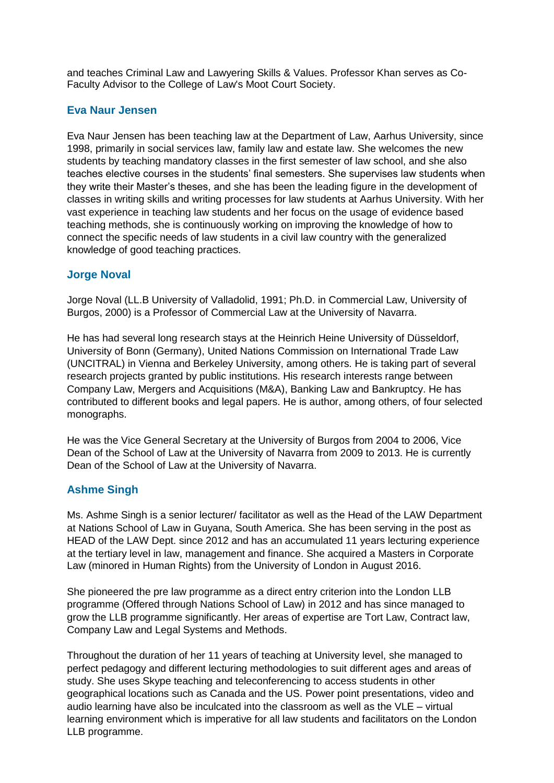and teaches Criminal Law and Lawyering Skills & Values. Professor Khan serves as Co-Faculty Advisor to the College of Law's Moot Court Society.

## **[Eva Naur Jensen](http://pure.au.dk/portal/en/persons/id(fafe8717-20e2-42fa-b032-740a8ba92370).html)**

Eva Naur Jensen has been teaching law at the Department of Law, Aarhus University, since 1998, primarily in social services law, family law and estate law. She welcomes the new students by teaching mandatory classes in the first semester of law school, and she also teaches elective courses in the students' final semesters. She supervises law students when they write their Master's theses, and she has been the leading figure in the development of classes in writing skills and writing processes for law students at Aarhus University. With her vast experience in teaching law students and her focus on the usage of evidence based teaching methods, she is continuously working on improving the knowledge of how to connect the specific needs of law students in a civil law country with the generalized knowledge of good teaching practices.

#### **[Jorge](https://www.law.nova.edu/faculty/full-time-faculty/webber-kathryn.html) Noval**

Jorge Noval (LL.B University of Valladolid, 1991; Ph.D. in Commercial Law, University of Burgos, 2000) is a Professor of Commercial Law at the University of Navarra.

He has had several long research stays at the Heinrich Heine University of Düsseldorf, University of Bonn (Germany), United Nations Commission on International Trade Law (UNCITRAL) in Vienna and Berkeley University, among others. He is taking part of several research projects granted by public institutions. His research interests range between Company Law, Mergers and Acquisitions (M&A), Banking Law and Bankruptcy. He has contributed to different books and legal papers. He is author, among others, of four selected monographs.

He was the Vice General Secretary at the University of Burgos from 2004 to 2006, Vice Dean of the School of Law at the University of Navarra from 2009 to 2013. He is currently Dean of the School of Law at the University of Navarra.

## **Ashme Singh**

Ms. Ashme Singh is a senior lecturer/ facilitator as well as the Head of the LAW Department at Nations School of Law in Guyana, South America. She has been serving in the post as HEAD of the LAW Dept. since 2012 and has an accumulated 11 years lecturing experience at the tertiary level in law, management and finance. She acquired a Masters in Corporate Law (minored in Human Rights) from the University of London in August 2016.

She pioneered the pre law programme as a direct entry criterion into the London LLB programme (Offered through Nations School of Law) in 2012 and has since managed to grow the LLB programme significantly. Her areas of expertise are Tort Law, Contract law, Company Law and Legal Systems and Methods.

Throughout the duration of her 11 years of teaching at University level, she managed to perfect pedagogy and different lecturing methodologies to suit different ages and areas of study. She uses Skype teaching and teleconferencing to access students in other geographical locations such as Canada and the US. Power point presentations, video and audio learning have also be inculcated into the classroom as well as the VLE – virtual learning environment which is imperative for all law students and facilitators on the London LLB programme.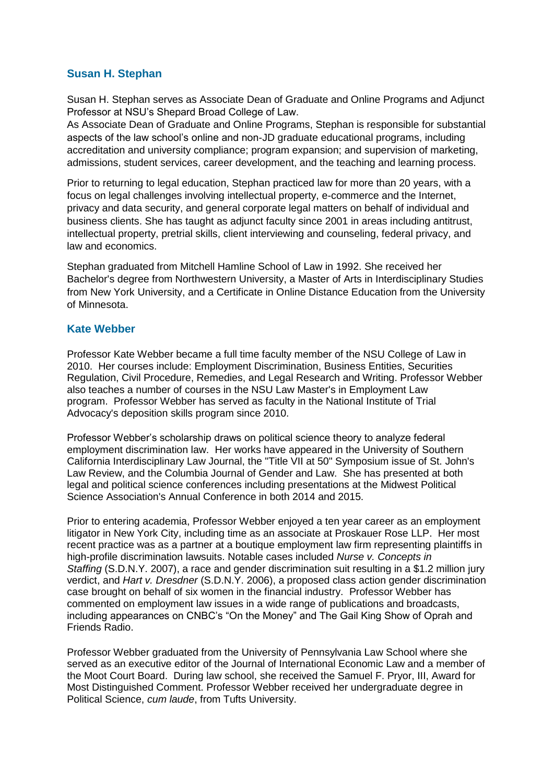## **[Susan H. Stephan](https://www.law.nova.edu/faculty/administration/stephan-susan.html)**

Susan H. Stephan serves as Associate Dean of Graduate and Online Programs and Adjunct Professor at NSU's Shepard Broad College of Law.

As Associate Dean of Graduate and Online Programs, Stephan is responsible for substantial aspects of the law school's online and non-JD graduate educational programs, including accreditation and university compliance; program expansion; and supervision of marketing, admissions, student services, career development, and the teaching and learning process.

Prior to returning to legal education, Stephan practiced law for more than 20 years, with a focus on legal challenges involving intellectual property, e-commerce and the Internet, privacy and data security, and general corporate legal matters on behalf of individual and business clients. She has taught as adjunct faculty since 2001 in areas including antitrust, intellectual property, pretrial skills, client interviewing and counseling, federal privacy, and law and economics.

Stephan graduated from Mitchell Hamline School of Law in 1992. She received her Bachelor's degree from Northwestern University, a Master of Arts in Interdisciplinary Studies from New York University, and a Certificate in Online Distance Education from the University of Minnesota.

#### **[Kate Webber](https://www.law.nova.edu/faculty/full-time-faculty/webber-kathryn.html)**

Professor Kate Webber became a full time faculty member of the NSU College of Law in 2010. Her courses include: Employment Discrimination, Business Entities, Securities Regulation, Civil Procedure, Remedies, and Legal Research and Writing. Professor Webber also teaches a number of courses in the NSU Law Master's in Employment Law program. Professor Webber has served as faculty in the National Institute of Trial Advocacy's deposition skills program since 2010.

Professor Webber's scholarship draws on political science theory to analyze federal employment discrimination law. Her works have appeared in the University of Southern California Interdisciplinary Law Journal, the "Title VII at 50" Symposium issue of St. John's Law Review, and the Columbia Journal of Gender and Law. She has presented at both legal and political science conferences including presentations at the Midwest Political Science Association's Annual Conference in both 2014 and 2015.

Prior to entering academia, Professor Webber enjoyed a ten year career as an employment litigator in New York City, including time as an associate at Proskauer Rose LLP. Her most recent practice was as a partner at a boutique employment law firm representing plaintiffs in high-profile discrimination lawsuits. Notable cases included *Nurse v. Concepts in Staffing* (S.D.N.Y. 2007), a race and gender discrimination suit resulting in a \$1.2 million jury verdict, and *Hart v. Dresdner* (S.D.N.Y. 2006), a proposed class action gender discrimination case brought on behalf of six women in the financial industry. Professor Webber has commented on employment law issues in a wide range of publications and broadcasts, including appearances on CNBC's "On the Money" and The Gail King Show of Oprah and Friends Radio.

Professor Webber graduated from the University of Pennsylvania Law School where she served as an executive editor of the Journal of International Economic Law and a member of the Moot Court Board. During law school, she received the Samuel F. Pryor, III, Award for Most Distinguished Comment. Professor Webber received her undergraduate degree in Political Science, *cum laude*, from Tufts University.